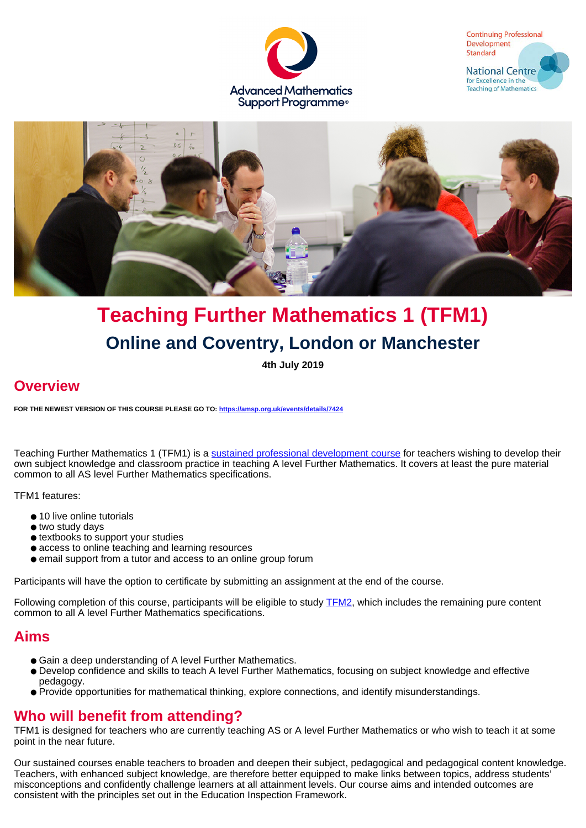





# **Teaching Further Mathematics 1 (TFM1) Online and Coventry, London or Manchester**

**4th July 2019**

# **Overview**

**FOR THE NEWEST VERSION OF THIS COURSE PLEASE GO TO: <https://amsp.org.uk/events/details/7424>**

Teaching Further Mathematics 1 (TFM1) is a [sustained professional development course](https://amsp.org.uk/events/sustained-pd-courses) for teachers wishing to develop their own subject knowledge and classroom practice in teaching A level Further Mathematics. It covers at least the pure material common to all AS level Further Mathematics specifications.

TFM1 features:

- 10 live online tutorials
- two study days
- textbooks to support your studies
- access to online teaching and learning resources
- email support from a tutor and access to an online group forum

Participants will have the option to certificate by submitting an assignment at the end of the course.

Following completion of this course, participants will be eligible to study **TFM2**, which includes the remaining pure content common to all A level Further Mathematics specifications.

### **Aims**

- Gain a deep understanding of A level Further Mathematics.
- Develop confidence and skills to teach A level Further Mathematics, focusing on subject knowledge and effective pedagogy.
- Provide opportunities for mathematical thinking, explore connections, and identify misunderstandings.

# **Who will benefit from attending?**

TFM1 is designed for teachers who are currently teaching AS or A level Further Mathematics or who wish to teach it at some point in the near future.

Our sustained courses enable teachers to broaden and deepen their subject, pedagogical and pedagogical content knowledge. Teachers, with enhanced subject knowledge, are therefore better equipped to make links between topics, address students' misconceptions and confidently challenge learners at all attainment levels. Our course aims and intended outcomes are consistent with the principles set out in the Education Inspection Framework.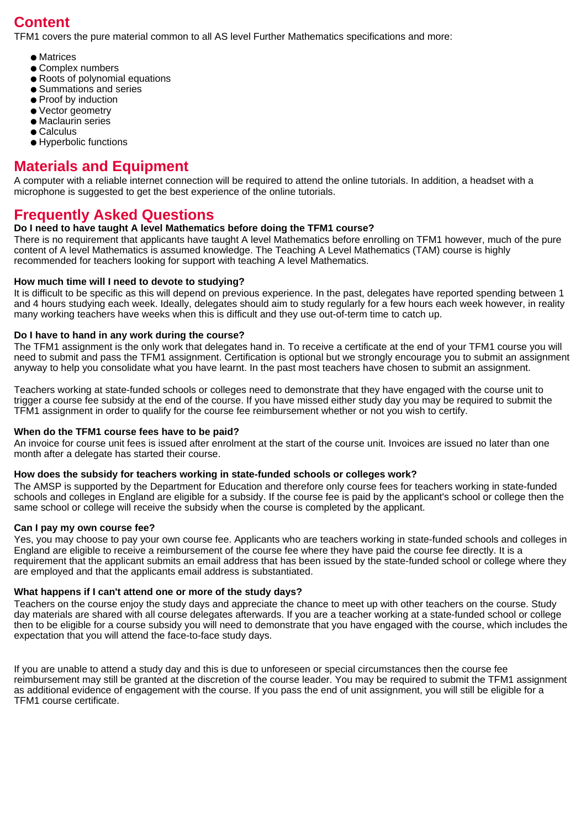# **Content**

TFM1 covers the pure material common to all AS level Further Mathematics specifications and more:

- Matrices
- Complex numbers
- Roots of polynomial equations
- Summations and series
- Proof by induction
- Vector geometry
- Maclaurin series
- Calculus
- Hyperbolic functions

# **Materials and Equipment**

A computer with a reliable internet connection will be required to attend the online tutorials. In addition, a headset with a microphone is suggested to get the best experience of the online tutorials.

# **Frequently Asked Questions**

### **Do I need to have taught A level Mathematics before doing the TFM1 course?**

There is no requirement that applicants have taught A level Mathematics before enrolling on TFM1 however, much of the pure content of A level Mathematics is assumed knowledge. The Teaching A Level Mathematics (TAM) course is highly recommended for teachers looking for support with teaching A level Mathematics.

### **How much time will I need to devote to studying?**

It is difficult to be specific as this will depend on previous experience. In the past, delegates have reported spending between 1 and 4 hours studying each week. Ideally, delegates should aim to study regularly for a few hours each week however, in reality many working teachers have weeks when this is difficult and they use out-of-term time to catch up.

### **Do I have to hand in any work during the course?**

The TFM1 assignment is the only work that delegates hand in. To receive a certificate at the end of your TFM1 course you will need to submit and pass the TFM1 assignment. Certification is optional but we strongly encourage you to submit an assignment anyway to help you consolidate what you have learnt. In the past most teachers have chosen to submit an assignment.

Teachers working at state-funded schools or colleges need to demonstrate that they have engaged with the course unit to trigger a course fee subsidy at the end of the course. If you have missed either study day you may be required to submit the TFM1 assignment in order to qualify for the course fee reimbursement whether or not you wish to certify.

### **When do the TFM1 course fees have to be paid?**

An invoice for course unit fees is issued after enrolment at the start of the course unit. Invoices are issued no later than one month after a delegate has started their course.

### **How does the subsidy for teachers working in state-funded schools or colleges work?**

The AMSP is supported by the Department for Education and therefore only course fees for teachers working in state-funded schools and colleges in England are eligible for a subsidy. If the course fee is paid by the applicant's school or college then the same school or college will receive the subsidy when the course is completed by the applicant.

### **Can I pay my own course fee?**

Yes, you may choose to pay your own course fee. Applicants who are teachers working in state-funded schools and colleges in England are eligible to receive a reimbursement of the course fee where they have paid the course fee directly. It is a requirement that the applicant submits an email address that has been issued by the state-funded school or college where they are employed and that the applicants email address is substantiated.

### **What happens if I can't attend one or more of the study days?**

Teachers on the course enjoy the study days and appreciate the chance to meet up with other teachers on the course. Study day materials are shared with all course delegates afterwards. If you are a teacher working at a state-funded school or college then to be eligible for a course subsidy you will need to demonstrate that you have engaged with the course, which includes the expectation that you will attend the face-to-face study days.

If you are unable to attend a study day and this is due to unforeseen or special circumstances then the course fee reimbursement may still be granted at the discretion of the course leader. You may be required to submit the TFM1 assignment as additional evidence of engagement with the course. If you pass the end of unit assignment, you will still be eligible for a TFM1 course certificate.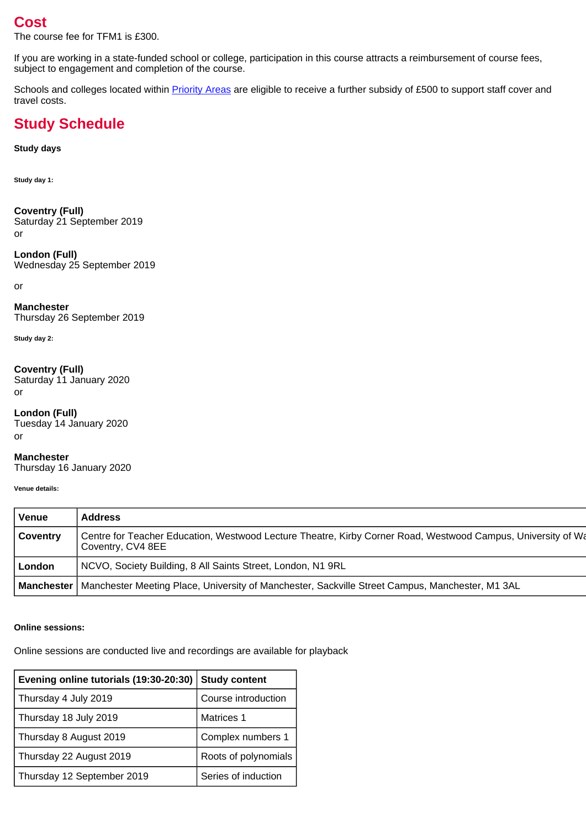# **Cost**

The course fee for TFM1 is £300.

If you are working in a state-funded school or college, participation in this course attracts a reimbursement of course fees, subject to engagement and completion of the course.

Schools and colleges located within **Priority Areas** are eligible to receive a further subsidy of £500 to support staff cover and travel costs.

# **Study Schedule**

### **Study days**

**Study day 1:**

**Coventry (Full)** Saturday 21 September 2019 or

**London (Full)** Wednesday 25 September 2019

or

**Manchester** Thursday 26 September 2019

**Study day 2:**

### **Coventry (Full)**

Saturday 11 January 2020 or

# **London (Full)**

Tuesday 14 January 2020 or

**Manchester** Thursday 16 January 2020

**Venue details:**

| Venue           | <b>Address</b>                                                                                                                    |
|-----------------|-----------------------------------------------------------------------------------------------------------------------------------|
| <b>Coventry</b> | Centre for Teacher Education, Westwood Lecture Theatre, Kirby Corner Road, Westwood Campus, University of Wa<br>Coventry, CV4 8EE |
| London          | NCVO, Society Building, 8 All Saints Street, London, N1 9RL                                                                       |
|                 | <b>Manchester</b>   Manchester Meeting Place, University of Manchester, Sackville Street Campus, Manchester, M1 3AL               |

### **Online sessions:**

Online sessions are conducted live and recordings are available for playback

| Evening online tutorials (19:30-20:30) | <b>Study content</b> |  |
|----------------------------------------|----------------------|--|
| Thursday 4 July 2019                   | Course introduction  |  |
| Thursday 18 July 2019                  | <b>Matrices 1</b>    |  |
| Thursday 8 August 2019                 | Complex numbers 1    |  |
| Thursday 22 August 2019                | Roots of polynomials |  |
| Thursday 12 September 2019             | Series of induction  |  |